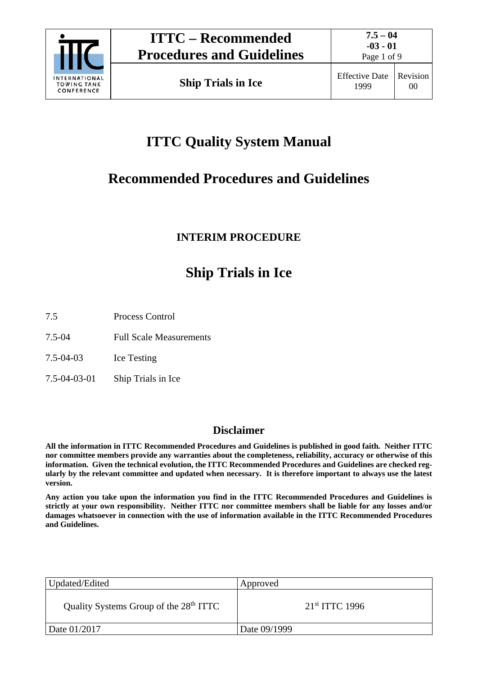

Page 1 of 9

# **ITTC Quality System Manual**

# **Recommended Procedures and Guidelines**

# **INTERIM PROCEDURE**

# **Ship Trials in Ice**

7.5 Process Control

7.5-04 Full Scale Measurements

7.5-04-03 Ice Testing

7.5-04-03-01 Ship Trials in Ice

## **Disclaimer**

**All the information in ITTC Recommended Procedures and Guidelines is published in good faith. Neither ITTC nor committee members provide any warranties about the completeness, reliability, accuracy or otherwise of this information. Given the technical evolution, the ITTC Recommended Procedures and Guidelines are checked regularly by the relevant committee and updated when necessary. It is therefore important to always use the latest version.**

**Any action you take upon the information you find in the ITTC Recommended Procedures and Guidelines is strictly at your own responsibility. Neither ITTC nor committee members shall be liable for any losses and/or damages whatsoever in connection with the use of information available in the ITTC Recommended Procedures and Guidelines.**

| Updated/Edited                                     | Approved            |
|----------------------------------------------------|---------------------|
| Quality Systems Group of the 28 <sup>th</sup> ITTC | $21^{st}$ ITTC 1996 |
| Date 01/2017                                       | Date 09/1999        |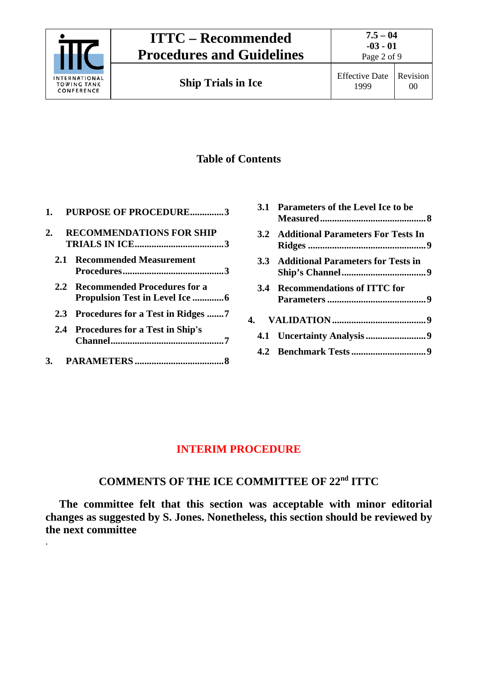

.

Page 2 of 9

# **Table of Contents**

| 1. | <b>PURPOSE OF PROCEDURE3</b>                                               |
|----|----------------------------------------------------------------------------|
| 2. | <b>RECOMMENDATIONS FOR SHIP</b>                                            |
|    | 2.1 Recommended Measurement                                                |
|    | 2.2 Recommended Procedures for a<br><b>Propulsion Test in Level Ice </b> 6 |
|    |                                                                            |
|    | 2.4 Procedures for a Test in Ship's                                        |

**3. PARAMETERS [.....................................8](#page-7-0)**

| 3.1 Parameters of the Level Ice to be  |
|----------------------------------------|
| 3.2 Additional Parameters For Tests In |
| 3.3 Additional Parameters for Tests in |
| 3.4 Recommendations of ITTC for        |
|                                        |
|                                        |
|                                        |

## **INTERIM PROCEDURE**

# **COMMENTS OF THE ICE COMMITTEE OF 22nd ITTC**

**The committee felt that this section was acceptable with minor editorial changes as suggested by S. Jones. Nonetheless, this section should be reviewed by the next committee**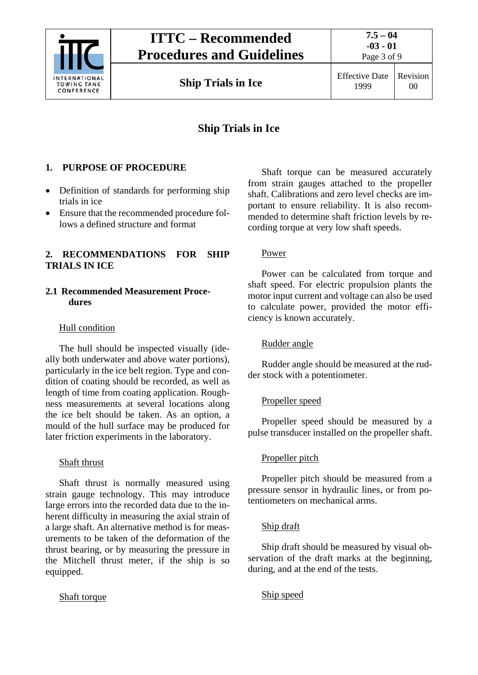

**Ship Trials in Ice** Effective Date

1999 Revision 00

# **Ship Trials in Ice**

#### <span id="page-2-0"></span>**1. PURPOSE OF PROCEDURE**

- Definition of standards for performing ship trials in ice
- Ensure that the recommended procedure follows a defined structure and format

#### <span id="page-2-1"></span>**2. RECOMMENDATIONS FOR SHIP TRIALS IN ICE**

#### <span id="page-2-2"></span>**2.1 Recommended Measurement Procedures**

#### Hull condition

The hull should be inspected visually (ideally both underwater and above water portions), particularly in the ice belt region. Type and condition of coating should be recorded, as well as length of time from coating application. Roughness measurements at several locations along the ice belt should be taken. As an option, a mould of the hull surface may be produced for later friction experiments in the laboratory.

#### Shaft thrust

Shaft thrust is normally measured using strain gauge technology. This may introduce large errors into the recorded data due to the inherent difficulty in measuring the axial strain of a large shaft. An alternative method is for measurements to be taken of the deformation of the thrust bearing, or by measuring the pressure in the Mitchell thrust meter, if the ship is so equipped.

#### Shaft torque

Shaft torque can be measured accurately from strain gauges attached to the propeller shaft. Calibrations and zero level checks are important to ensure reliability. It is also recommended to determine shaft friction levels by recording torque at very low shaft speeds.

#### Power

Power can be calculated from torque and shaft speed. For electric propulsion plants the motor input current and voltage can also be used to calculate power, provided the motor efficiency is known accurately.

#### Rudder angle

Rudder angle should be measured at the rudder stock with a potentiometer.

#### Propeller speed

Propeller speed should be measured by a pulse transducer installed on the propeller shaft.

#### Propeller pitch

Propeller pitch should be measured from a pressure sensor in hydraulic lines, or from potentiometers on mechanical arms.

#### Ship draft

Ship draft should be measured by visual observation of the draft marks at the beginning, during, and at the end of the tests.

#### Ship speed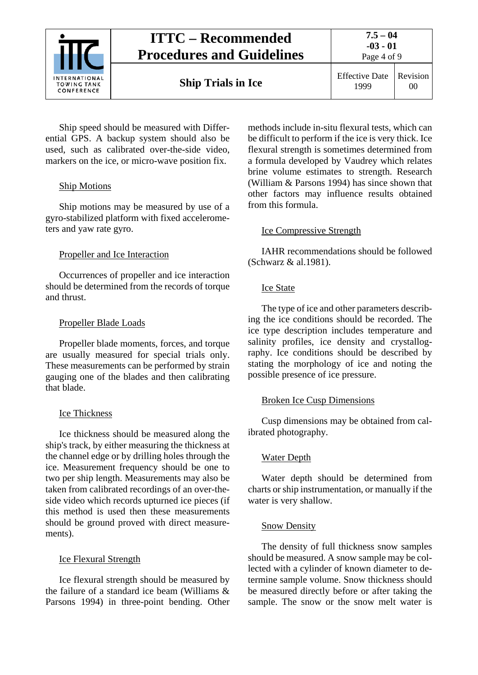

**Ship Trials in Ice** Effective Date

Ship speed should be measured with Differential GPS. A backup system should also be used, such as calibrated over-the-side video, markers on the ice, or micro-wave position fix.

## Ship Motions

Ship motions may be measured by use of a gyro-stabilized platform with fixed accelerometers and yaw rate gyro.

## Propeller and Ice Interaction

Occurrences of propeller and ice interaction should be determined from the records of torque and thrust.

### Propeller Blade Loads

Propeller blade moments, forces, and torque are usually measured for special trials only. These measurements can be performed by strain gauging one of the blades and then calibrating that blade.

### Ice Thickness

Ice thickness should be measured along the ship's track, by either measuring the thickness at the channel edge or by drilling holes through the ice. Measurement frequency should be one to two per ship length. Measurements may also be taken from calibrated recordings of an over-theside video which records upturned ice pieces (if this method is used then these measurements should be ground proved with direct measurements).

### Ice Flexural Strength

Ice flexural strength should be measured by the failure of a standard ice beam (Williams & Parsons 1994) in three-point bending. Other methods include in-situ flexural tests, which can be difficult to perform if the ice is very thick. Ice flexural strength is sometimes determined from a formula developed by Vaudrey which relates brine volume estimates to strength. Research (William & Parsons 1994) has since shown that other factors may influence results obtained from this formula.

## Ice Compressive Strength

IAHR recommendations should be followed (Schwarz & al.1981).

### Ice State

The type of ice and other parameters describing the ice conditions should be recorded. The ice type description includes temperature and salinity profiles, ice density and crystallography. Ice conditions should be described by stating the morphology of ice and noting the possible presence of ice pressure.

### Broken Ice Cusp Dimensions

Cusp dimensions may be obtained from calibrated photography.

## Water Depth

Water depth should be determined from charts or ship instrumentation, or manually if the water is very shallow.

### Snow Density

The density of full thickness snow samples should be measured. A snow sample may be collected with a cylinder of known diameter to determine sample volume. Snow thickness should be measured directly before or after taking the sample. The snow or the snow melt water is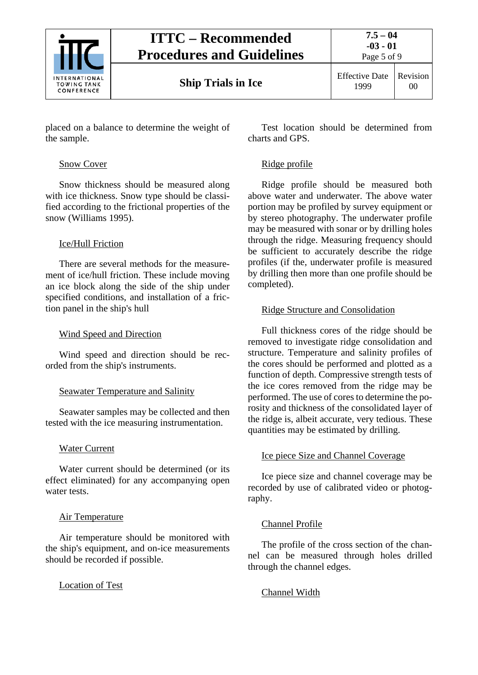

# **ITTC – Recommended Procedures and Guidelines**

placed on a balance to determine the weight of the sample.

#### Snow Cover

Snow thickness should be measured along with ice thickness. Snow type should be classified according to the frictional properties of the snow (Williams 1995).

### Ice/Hull Friction

There are several methods for the measurement of ice/hull friction. These include moving an ice block along the side of the ship under specified conditions, and installation of a friction panel in the ship's hull

### Wind Speed and Direction

Wind speed and direction should be recorded from the ship's instruments.

### Seawater Temperature and Salinity

Seawater samples may be collected and then tested with the ice measuring instrumentation.

## Water Current

Water current should be determined (or its effect eliminated) for any accompanying open water tests.

### Air Temperature

Air temperature should be monitored with the ship's equipment, and on-ice measurements should be recorded if possible.

Location of Test

Test location should be determined from charts and GPS.

### Ridge profile

Ridge profile should be measured both above water and underwater. The above water portion may be profiled by survey equipment or by stereo photography. The underwater profile may be measured with sonar or by drilling holes through the ridge. Measuring frequency should be sufficient to accurately describe the ridge profiles (if the, underwater profile is measured by drilling then more than one profile should be completed).

### Ridge Structure and Consolidation

Full thickness cores of the ridge should be removed to investigate ridge consolidation and structure. Temperature and salinity profiles of the cores should be performed and plotted as a function of depth. Compressive strength tests of the ice cores removed from the ridge may be performed. The use of cores to determine the porosity and thickness of the consolidated layer of the ridge is, albeit accurate, very tedious. These quantities may be estimated by drilling.

## Ice piece Size and Channel Coverage

Ice piece size and channel coverage may be recorded by use of calibrated video or photography.

## Channel Profile

The profile of the cross section of the channel can be measured through holes drilled through the channel edges.

## Channel Width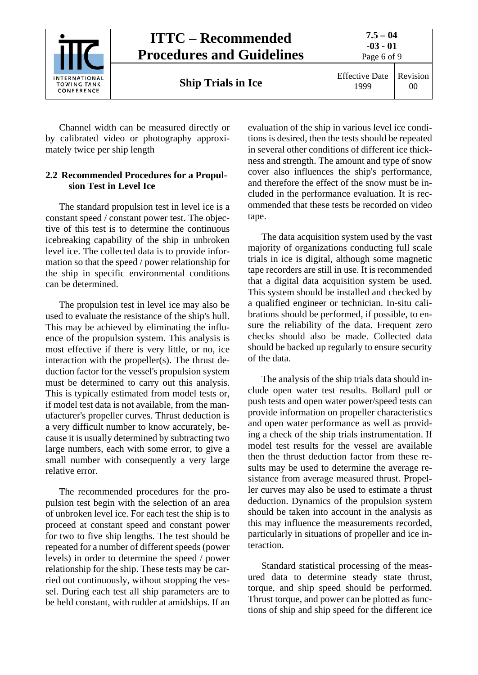

Channel width can be measured directly or by calibrated video or photography approximately twice per ship length

#### <span id="page-5-0"></span>**2.2 Recommended Procedures for a Propulsion Test in Level Ice**

The standard propulsion test in level ice is a constant speed / constant power test. The objective of this test is to determine the continuous icebreaking capability of the ship in unbroken level ice. The collected data is to provide information so that the speed / power relationship for the ship in specific environmental conditions can be determined.

The propulsion test in level ice may also be used to evaluate the resistance of the ship's hull. This may be achieved by eliminating the influence of the propulsion system. This analysis is most effective if there is very little, or no, ice interaction with the propeller(s). The thrust deduction factor for the vessel's propulsion system must be determined to carry out this analysis. This is typically estimated from model tests or, if model test data is not available, from the manufacturer's propeller curves. Thrust deduction is a very difficult number to know accurately, because it is usually determined by subtracting two large numbers, each with some error, to give a small number with consequently a very large relative error.

The recommended procedures for the propulsion test begin with the selection of an area of unbroken level ice. For each test the ship is to proceed at constant speed and constant power for two to five ship lengths. The test should be repeated for a number of different speeds (power levels) in order to determine the speed / power relationship for the ship. These tests may be carried out continuously, without stopping the vessel. During each test all ship parameters are to be held constant, with rudder at amidships. If an evaluation of the ship in various level ice conditions is desired, then the tests should be repeated in several other conditions of different ice thickness and strength. The amount and type of snow cover also influences the ship's performance, and therefore the effect of the snow must be included in the performance evaluation. It is recommended that these tests be recorded on video tape.

The data acquisition system used by the vast majority of organizations conducting full scale trials in ice is digital, although some magnetic tape recorders are still in use. It is recommended that a digital data acquisition system be used. This system should be installed and checked by a qualified engineer or technician. In-situ calibrations should be performed, if possible, to ensure the reliability of the data. Frequent zero checks should also be made. Collected data should be backed up regularly to ensure security of the data.

The analysis of the ship trials data should include open water test results. Bollard pull or push tests and open water power/speed tests can provide information on propeller characteristics and open water performance as well as providing a check of the ship trials instrumentation. If model test results for the vessel are available then the thrust deduction factor from these results may be used to determine the average resistance from average measured thrust. Propeller curves may also be used to estimate a thrust deduction. Dynamics of the propulsion system should be taken into account in the analysis as this may influence the measurements recorded, particularly in situations of propeller and ice interaction.

Standard statistical processing of the measured data to determine steady state thrust, torque, and ship speed should be performed. Thrust torque, and power can be plotted as functions of ship and ship speed for the different ice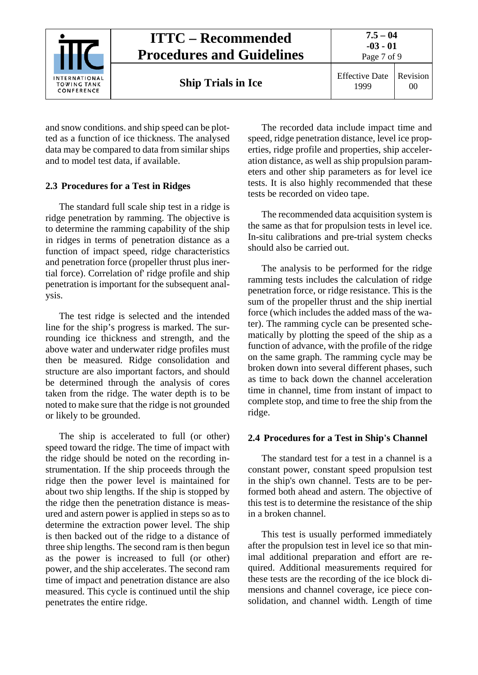

and snow conditions. and ship speed can be plotted as a function of ice thickness. The analysed data may be compared to data from similar ships and to model test data, if available.

#### <span id="page-6-0"></span>**2.3 Procedures for a Test in Ridges**

The standard full scale ship test in a ridge is ridge penetration by ramming. The objective is to determine the ramming capability of the ship in ridges in terms of penetration distance as a function of impact speed, ridge characteristics and penetration force (propeller thrust plus inertial force). Correlation of' ridge profile and ship penetration is important for the subsequent analysis.

The test ridge is selected and the intended line for the ship's progress is marked. The surrounding ice thickness and strength, and the above water and underwater ridge profiles must then be measured. Ridge consolidation and structure are also important factors, and should be determined through the analysis of cores taken from the ridge. The water depth is to be noted to make sure that the ridge is not grounded or likely to be grounded.

The ship is accelerated to full (or other) speed toward the ridge. The time of impact with the ridge should be noted on the recording instrumentation. If the ship proceeds through the ridge then the power level is maintained for about two ship lengths. If the ship is stopped by the ridge then the penetration distance is measured and astern power is applied in steps so as to determine the extraction power level. The ship is then backed out of the ridge to a distance of three ship lengths. The second ram is then begun as the power is increased to full (or other) power, and the ship accelerates. The second ram time of impact and penetration distance are also measured. This cycle is continued until the ship penetrates the entire ridge.

The recorded data include impact time and speed, ridge penetration distance, level ice properties, ridge profile and properties, ship acceleration distance, as well as ship propulsion parameters and other ship parameters as for level ice tests. It is also highly recommended that these tests be recorded on video tape.

The recommended data acquisition system is the same as that for propulsion tests in level ice. In-situ calibrations and pre-trial system checks should also be carried out.

The analysis to be performed for the ridge ramming tests includes the calculation of ridge penetration force, or ridge resistance. This is the sum of the propeller thrust and the ship inertial force (which includes the added mass of the water). The ramming cycle can be presented schematically by plotting the speed of the ship as a function of advance, with the profile of the ridge on the same graph. The ramming cycle may be broken down into several different phases, such as time to back down the channel acceleration time in channel, time from instant of impact to complete stop, and time to free the ship from the ridge.

#### <span id="page-6-1"></span>**2.4 Procedures for a Test in Ship's Channel**

The standard test for a test in a channel is a constant power, constant speed propulsion test in the ship's own channel. Tests are to be performed both ahead and astern. The objective of this test is to determine the resistance of the ship in a broken channel.

This test is usually performed immediately after the propulsion test in level ice so that minimal additional preparation and effort are required. Additional measurements required for these tests are the recording of the ice block dimensions and channel coverage, ice piece consolidation, and channel width. Length of time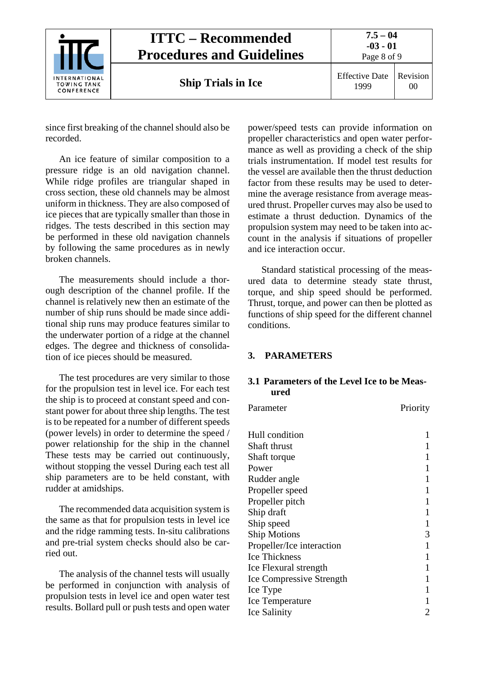

# **ITTC – Recommended Procedures and Guidelines**

Page 8 of 9

**Ship Trials in Ice** Effective Date

1999 Revision 00

since first breaking of the channel should also be recorded.

An ice feature of similar composition to a pressure ridge is an old navigation channel. While ridge profiles are triangular shaped in cross section, these old channels may be almost uniform in thickness. They are also composed of ice pieces that are typically smaller than those in ridges. The tests described in this section may be performed in these old navigation channels by following the same procedures as in newly broken channels.

The measurements should include a thorough description of the channel profile. If the channel is relatively new then an estimate of the number of ship runs should be made since additional ship runs may produce features similar to the underwater portion of a ridge at the channel edges. The degree and thickness of consolidation of ice pieces should be measured.

The test procedures are very similar to those for the propulsion test in level ice. For each test the ship is to proceed at constant speed and constant power for about three ship lengths. The test is to be repeated for a number of different speeds (power levels) in order to determine the speed / power relationship for the ship in the channel These tests may be carried out continuously, without stopping the vessel During each test all ship parameters are to be held constant, with rudder at amidships.

The recommended data acquisition system is the same as that for propulsion tests in level ice and the ridge ramming tests. In-situ calibrations and pre-trial system checks should also be carried out.

The analysis of the channel tests will usually be performed in conjunction with analysis of propulsion tests in level ice and open water test results. Bollard pull or push tests and open water power/speed tests can provide information on propeller characteristics and open water performance as well as providing a check of the ship trials instrumentation. If model test results for the vessel are available then the thrust deduction factor from these results may be used to determine the average resistance from average measured thrust. Propeller curves may also be used to estimate a thrust deduction. Dynamics of the propulsion system may need to be taken into account in the analysis if situations of propeller and ice interaction occur.

Standard statistical processing of the measured data to determine steady state thrust, torque, and ship speed should be performed. Thrust, torque, and power can then be plotted as functions of ship speed for the different channel conditions.

## <span id="page-7-1"></span><span id="page-7-0"></span>**3. PARAMETERS**

### **3.1 Parameters of the Level Ice to be Measured**

Parameter Priority

| Hull condition                  |   |
|---------------------------------|---|
| Shaft thrust                    |   |
| Shaft torque                    |   |
| Power                           |   |
| Rudder angle                    |   |
| Propeller speed                 |   |
| Propeller pitch                 |   |
| Ship draft                      |   |
| Ship speed                      |   |
| <b>Ship Motions</b>             | 3 |
| Propeller/Ice interaction       |   |
| <b>Ice Thickness</b>            | 1 |
| Ice Flexural strength           | 1 |
| <b>Ice Compressive Strength</b> |   |
| Ice Type                        | 1 |
| Ice Temperature                 |   |
| <b>Ice Salinity</b>             |   |
|                                 |   |